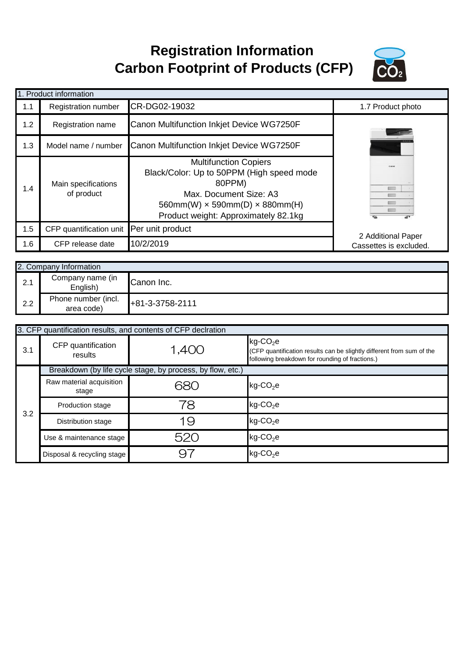## **Registration Information Carbon Footprint of Products (CFP)**



|     | 1. Product information                   |                                                                                                                                                                                                     |                        |
|-----|------------------------------------------|-----------------------------------------------------------------------------------------------------------------------------------------------------------------------------------------------------|------------------------|
| 1.1 | Registration number                      | CR-DG02-19032                                                                                                                                                                                       | 1.7 Product photo      |
| 1.2 | Registration name                        | Canon Multifunction Inkjet Device WG7250F                                                                                                                                                           |                        |
| 1.3 | Model name / number                      | Canon Multifunction Inkjet Device WG7250F                                                                                                                                                           |                        |
| 1.4 | Main specifications<br>of product        | <b>Multifunction Copiers</b><br>Black/Color: Up to 50PPM (High speed mode<br>80PPM)<br>Max. Document Size: A3<br>$560mm(W) \times 590mm(D) \times 880mm(H)$<br>Product weight: Approximately 82.1kg | <b>Color</b>           |
| 1.5 | CFP quantification unit Per unit product |                                                                                                                                                                                                     | 2 Additional Paper     |
| 1.6 | CFP release date                         | 10/2/2019                                                                                                                                                                                           | Cassettes is excluded. |

|     | 2. Company Information            |                   |  |  |
|-----|-----------------------------------|-------------------|--|--|
| 2.1 | Company name (in<br>English)      | Canon Inc.        |  |  |
| 2.2 | Phone number (incl.<br>area code) | $+81-3-3758-2111$ |  |  |

|     | 3. CFP quantification results, and contents of CFP declration |       |                                                                                                                                                     |  |  |  |
|-----|---------------------------------------------------------------|-------|-----------------------------------------------------------------------------------------------------------------------------------------------------|--|--|--|
| 3.1 | CFP quantification<br>results                                 | 1,400 | $kg$ -CO <sub>2</sub> e<br>(CFP quantification results can be slightly different from sum of the<br>following breakdown for rounding of fractions.) |  |  |  |
|     | Breakdown (by life cycle stage, by process, by flow, etc.)    |       |                                                                                                                                                     |  |  |  |
| 3.2 | Raw material acquisition<br>stage                             | 680   | $kg$ -CO <sub>2</sub> e                                                                                                                             |  |  |  |
|     | <b>Production stage</b>                                       | 78    | $kg$ -CO <sub>2</sub> e                                                                                                                             |  |  |  |
|     | Distribution stage                                            | 19    | $kg$ -CO <sub>2</sub> e                                                                                                                             |  |  |  |
|     | Use & maintenance stage                                       | 520   | $kg$ -CO <sub>2</sub> e                                                                                                                             |  |  |  |
|     | Disposal & recycling stage                                    | 9.    | $kg$ -CO <sub>2</sub> e                                                                                                                             |  |  |  |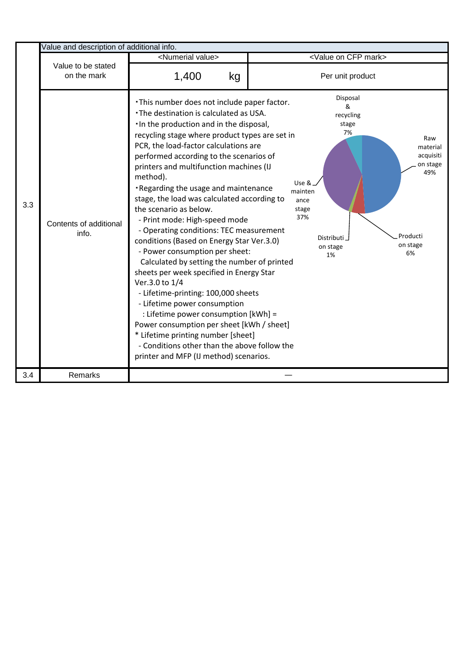|     | Value and description of additional info. |                                                                                                                                                                                                                                                                                                                                                                                                                                                                                                                                                                                                                                                                                                                                                                                                                                                                                                                                                                                                                        |                                                                                                                                                                                                        |
|-----|-------------------------------------------|------------------------------------------------------------------------------------------------------------------------------------------------------------------------------------------------------------------------------------------------------------------------------------------------------------------------------------------------------------------------------------------------------------------------------------------------------------------------------------------------------------------------------------------------------------------------------------------------------------------------------------------------------------------------------------------------------------------------------------------------------------------------------------------------------------------------------------------------------------------------------------------------------------------------------------------------------------------------------------------------------------------------|--------------------------------------------------------------------------------------------------------------------------------------------------------------------------------------------------------|
|     |                                           | <numerial value=""></numerial>                                                                                                                                                                                                                                                                                                                                                                                                                                                                                                                                                                                                                                                                                                                                                                                                                                                                                                                                                                                         | <value cfp="" mark="" on=""></value>                                                                                                                                                                   |
|     | Value to be stated<br>on the mark         | 1,400<br>kg                                                                                                                                                                                                                                                                                                                                                                                                                                                                                                                                                                                                                                                                                                                                                                                                                                                                                                                                                                                                            | Per unit product                                                                                                                                                                                       |
| 3.3 | Contents of additional<br>info.           | . This number does not include paper factor.<br>. The destination is calculated as USA.<br>. In the production and in the disposal,<br>recycling stage where product types are set in<br>PCR, the load-factor calculations are<br>performed according to the scenarios of<br>printers and multifunction machines (IJ<br>method).<br>. Regarding the usage and maintenance<br>stage, the load was calculated according to<br>the scenario as below.<br>- Print mode: High-speed mode<br>- Operating conditions: TEC measurement<br>conditions (Based on Energy Star Ver.3.0)<br>- Power consumption per sheet:<br>Calculated by setting the number of printed<br>sheets per week specified in Energy Star<br>Ver.3.0 to 1/4<br>- Lifetime-printing: 100,000 sheets<br>- Lifetime power consumption<br>: Lifetime power consumption [kWh] =<br>Power consumption per sheet [kWh / sheet]<br>* Lifetime printing number [sheet]<br>- Conditions other than the above follow the<br>printer and MFP (IJ method) scenarios. | Disposal<br>&<br>recycling<br>stage<br>7%<br>Raw<br>material<br>acquisiti<br>on stage<br>49%<br>Use &<br>mainten<br>ance<br>stage<br>37%<br>Producti<br>Distributi<br>on stage<br>on stage<br>6%<br>1% |
| 3.4 | Remarks                                   |                                                                                                                                                                                                                                                                                                                                                                                                                                                                                                                                                                                                                                                                                                                                                                                                                                                                                                                                                                                                                        |                                                                                                                                                                                                        |